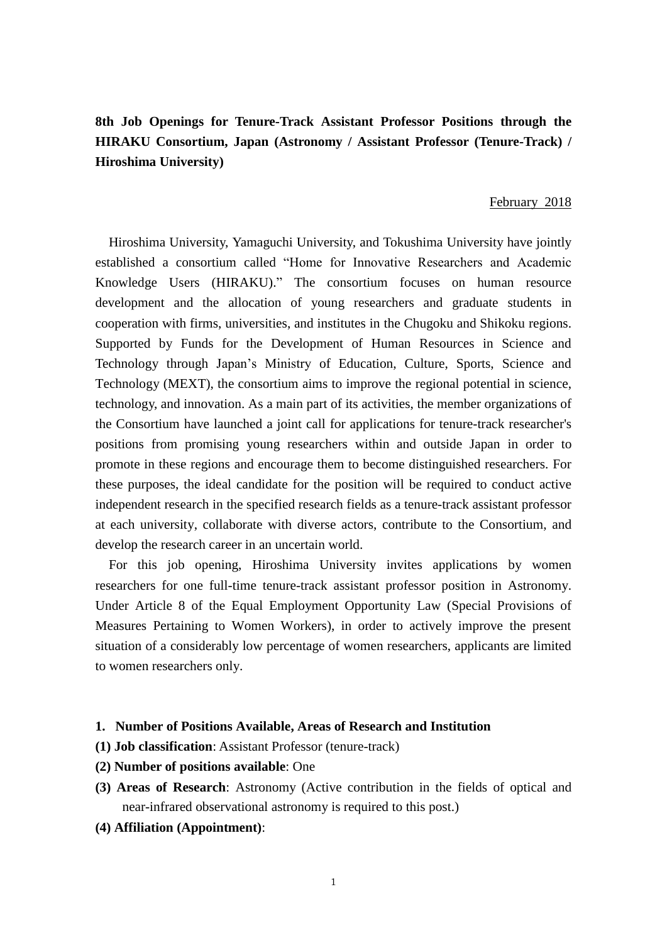# **8th Job Openings for Tenure-Track Assistant Professor Positions through the HIRAKU Consortium, Japan (Astronomy / Assistant Professor (Tenure-Track) / Hiroshima University)**

#### February 2018

Hiroshima University, Yamaguchi University, and Tokushima University have jointly established a consortium called "Home for Innovative Researchers and Academic Knowledge Users (HIRAKU)." The consortium focuses on human resource development and the allocation of young researchers and graduate students in cooperation with firms, universities, and institutes in the Chugoku and Shikoku regions. Supported by Funds for the Development of Human Resources in Science and Technology through Japan's Ministry of Education, Culture, Sports, Science and Technology (MEXT), the consortium aims to improve the regional potential in science, technology, and innovation. As a main part of its activities, the member organizations of the Consortium have launched a joint call for applications for tenure-track researcher's positions from promising young researchers within and outside Japan in order to promote in these regions and encourage them to become distinguished researchers. For these purposes, the ideal candidate for the position will be required to conduct active independent research in the specified research fields as a tenure-track assistant professor at each university, collaborate with diverse actors, contribute to the Consortium, and develop the research career in an uncertain world.

For this job opening, Hiroshima University invites applications by women researchers for one full-time tenure-track assistant professor position in Astronomy. Under Article 8 of the Equal Employment Opportunity Law (Special Provisions of Measures Pertaining to Women Workers), in order to actively improve the present situation of a considerably low percentage of women researchers, applicants are limited to women researchers only.

#### **1. Number of Positions Available, Areas of Research and Institution**

- **(1) Job classification**: Assistant Professor (tenure-track)
- **(2) Number of positions available**: One
- **(3) Areas of Research**: Astronomy (Active contribution in the fields of optical and near-infrared observational astronomy is required to this post.)
- **(4) Affiliation (Appointment)**: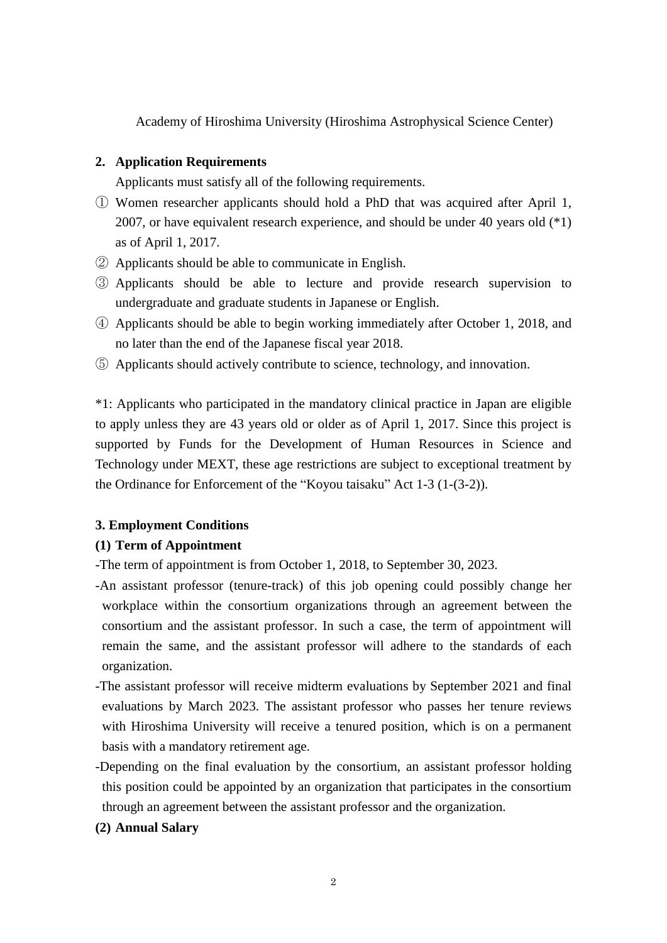Academy of Hiroshima University (Hiroshima Astrophysical Science Center)

# **2. Application Requirements**

Applicants must satisfy all of the following requirements.

- ① Women researcher applicants should hold a PhD that was acquired after April 1, 2007, or have equivalent research experience, and should be under 40 years old (\*1) as of April 1, 2017.
- ② Applicants should be able to communicate in English.
- ③ Applicants should be able to lecture and provide research supervision to undergraduate and graduate students in Japanese or English.
- ④ Applicants should be able to begin working immediately after October 1, 2018, and no later than the end of the Japanese fiscal year 2018.
- ⑤ Applicants should actively contribute to science, technology, and innovation.

\*1: Applicants who participated in the mandatory clinical practice in Japan are eligible to apply unless they are 43 years old or older as of April 1, 2017. Since this project is supported by Funds for the Development of Human Resources in Science and Technology under MEXT, these age restrictions are subject to exceptional treatment by the Ordinance for Enforcement of the "Koyou taisaku" Act 1-3 (1-(3-2)).

### **3. Employment Conditions**

### **(1) Term of Appointment**

- -The term of appointment is from October 1, 2018, to September 30, 2023.
- -An assistant professor (tenure-track) of this job opening could possibly change her workplace within the consortium organizations through an agreement between the consortium and the assistant professor. In such a case, the term of appointment will remain the same, and the assistant professor will adhere to the standards of each organization.
- -The assistant professor will receive midterm evaluations by September 2021 and final evaluations by March 2023. The assistant professor who passes her tenure reviews with Hiroshima University will receive a tenured position, which is on a permanent basis with a mandatory retirement age.
- -Depending on the final evaluation by the consortium, an assistant professor holding this position could be appointed by an organization that participates in the consortium through an agreement between the assistant professor and the organization.

# **(2) Annual Salary**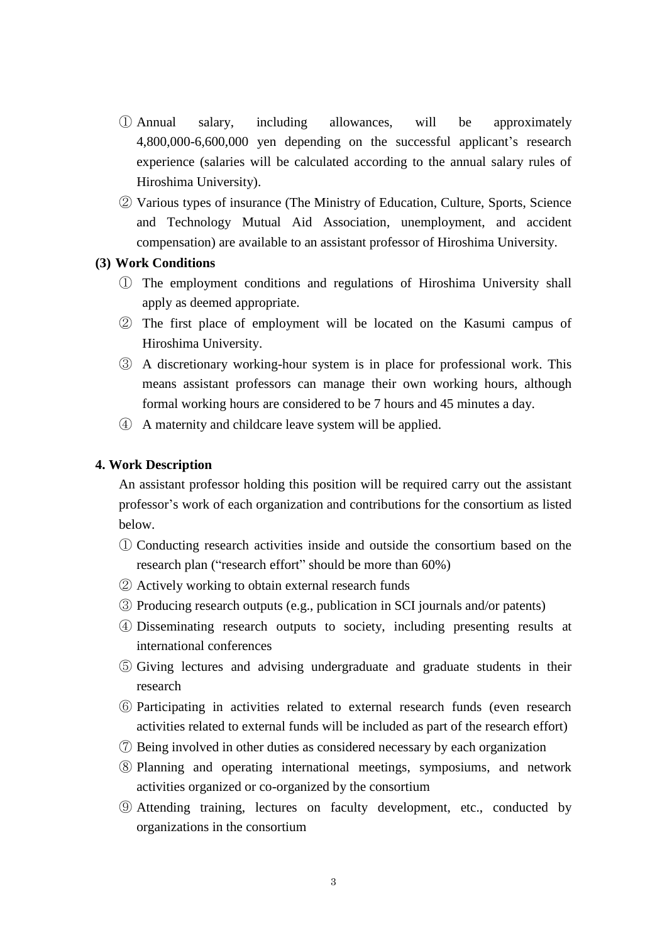- ① Annual salary, including allowances, will be approximately 4,800,000-6,600,000 yen depending on the successful applicant's research experience (salaries will be calculated according to the annual salary rules of Hiroshima University).
- ② Various types of insurance (The Ministry of Education, Culture, Sports, Science and Technology Mutual Aid Association, unemployment, and accident compensation) are available to an assistant professor of Hiroshima University.

#### **(3) Work Conditions**

- ① The employment conditions and regulations of Hiroshima University shall apply as deemed appropriate.
- ② The first place of employment will be located on the Kasumi campus of Hiroshima University.
- ③ A discretionary working-hour system is in place for professional work. This means assistant professors can manage their own working hours, although formal working hours are considered to be 7 hours and 45 minutes a day.
- ④ A maternity and childcare leave system will be applied.

#### **4. Work Description**

An assistant professor holding this position will be required carry out the assistant professor's work of each organization and contributions for the consortium as listed below.

- ① Conducting research activities inside and outside the consortium based on the research plan ("research effort" should be more than 60%)
- ② Actively working to obtain external research funds
- ③ Producing research outputs (e.g., publication in SCI journals and/or patents)
- ④ Disseminating research outputs to society, including presenting results at international conferences
- ⑤ Giving lectures and advising undergraduate and graduate students in their research
- ⑥ Participating in activities related to external research funds (even research activities related to external funds will be included as part of the research effort)
- ⑦ Being involved in other duties as considered necessary by each organization
- ⑧ Planning and operating international meetings, symposiums, and network activities organized or co-organized by the consortium
- ⑨ Attending training, lectures on faculty development, etc., conducted by organizations in the consortium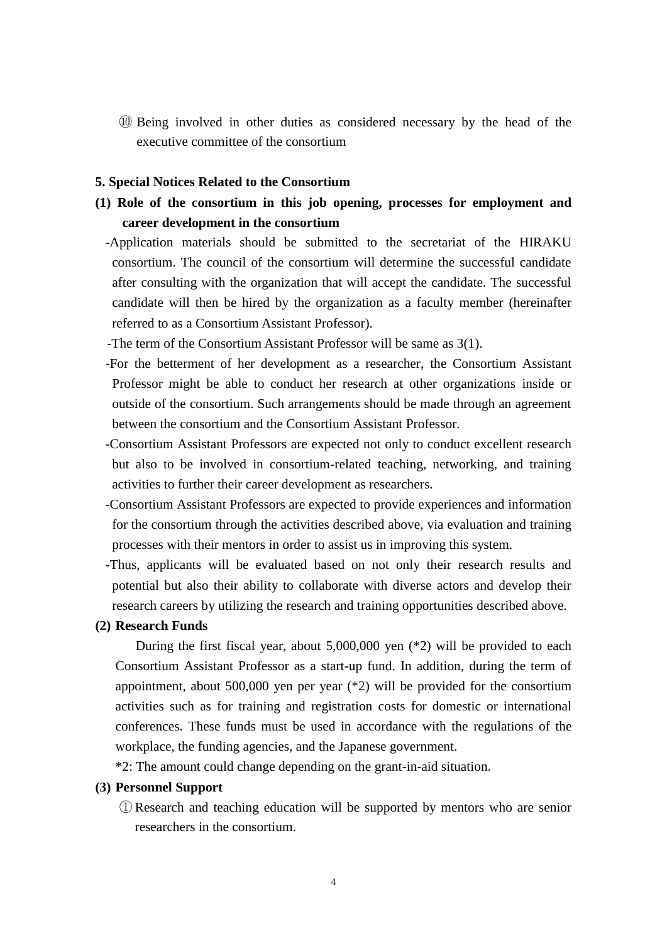⑩ Being involved in other duties as considered necessary by the head of the executive committee of the consortium

#### **5. Special Notices Related to the Consortium**

- **(1) Role of the consortium in this job opening, processes for employment and career development in the consortium**
	- -Application materials should be submitted to the secretariat of the HIRAKU consortium. The council of the consortium will determine the successful candidate after consulting with the organization that will accept the candidate. The successful candidate will then be hired by the organization as a faculty member (hereinafter referred to as a Consortium Assistant Professor).

-The term of the Consortium Assistant Professor will be same as 3(1).

- -For the betterment of her development as a researcher, the Consortium Assistant Professor might be able to conduct her research at other organizations inside or outside of the consortium. Such arrangements should be made through an agreement between the consortium and the Consortium Assistant Professor.
- -Consortium Assistant Professors are expected not only to conduct excellent research but also to be involved in consortium-related teaching, networking, and training activities to further their career development as researchers.
- -Consortium Assistant Professors are expected to provide experiences and information for the consortium through the activities described above, via evaluation and training processes with their mentors in order to assist us in improving this system.
- -Thus, applicants will be evaluated based on not only their research results and potential but also their ability to collaborate with diverse actors and develop their research careers by utilizing the research and training opportunities described above.

#### **(2) Research Funds**

During the first fiscal year, about 5,000,000 yen (\*2) will be provided to each Consortium Assistant Professor as a start-up fund. In addition, during the term of appointment, about 500,000 yen per year (\*2) will be provided for the consortium activities such as for training and registration costs for domestic or international conferences. These funds must be used in accordance with the regulations of the workplace, the funding agencies, and the Japanese government.

\*2: The amount could change depending on the grant-in-aid situation.

#### **(3) Personnel Support**

① Research and teaching education will be supported by mentors who are senior researchers in the consortium.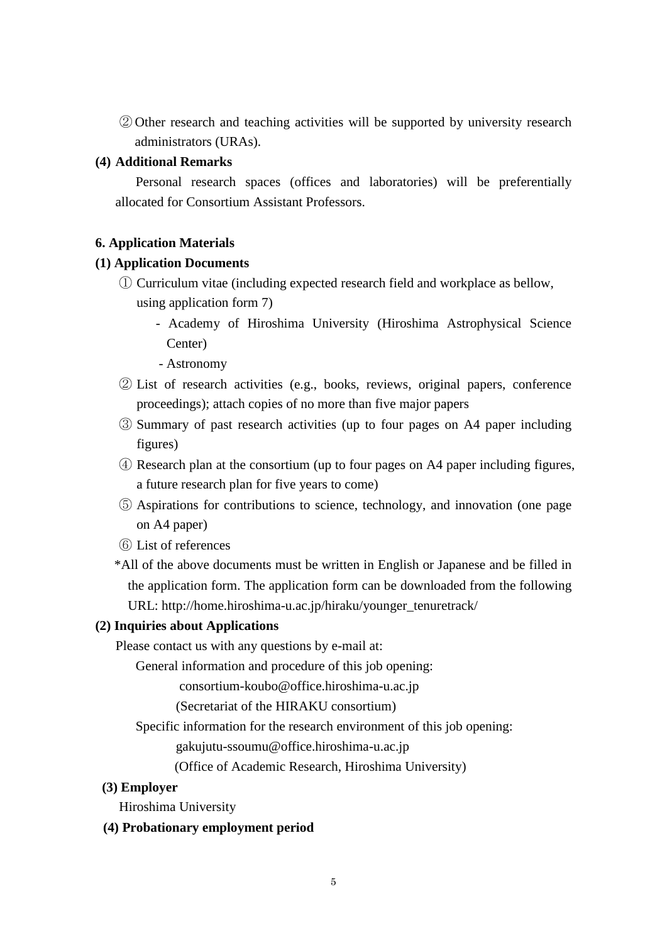② Other research and teaching activities will be supported by university research administrators (URAs).

### **(4) Additional Remarks**

Personal research spaces (offices and laboratories) will be preferentially allocated for Consortium Assistant Professors.

### **6. Application Materials**

### **(1) Application Documents**

- ① Curriculum vitae (including expected research field and workplace as bellow, using application form 7)
	- Academy of Hiroshima University (Hiroshima Astrophysical Science Center)
	- Astronomy
- ② List of research activities (e.g., books, reviews, original papers, conference proceedings); attach copies of no more than five major papers
- ③ Summary of past research activities (up to four pages on A4 paper including figures)
- ④ Research plan at the consortium (up to four pages on A4 paper including figures, a future research plan for five years to come)
- ⑤ Aspirations for contributions to science, technology, and innovation (one page on A4 paper)
- ⑥ List of references
- \*All of the above documents must be written in English or Japanese and be filled in the application form. The application form can be downloaded from the following URL: http://home.hiroshima-u.ac.jp/hiraku/younger\_tenuretrack/

#### **(2) Inquiries about Applications**

Please contact us with any questions by e-mail at:

General information and procedure of this job opening:

consortium-koubo@office.hiroshima-u.ac.jp

(Secretariat of the HIRAKU consortium)

Specific information for the research environment of this job opening:

gakujutu-ssoumu@office.hiroshima-u.ac.jp

(Office of Academic Research, Hiroshima University)

# **(3) Employer**

Hiroshima University

# **(4) Probationary employment period**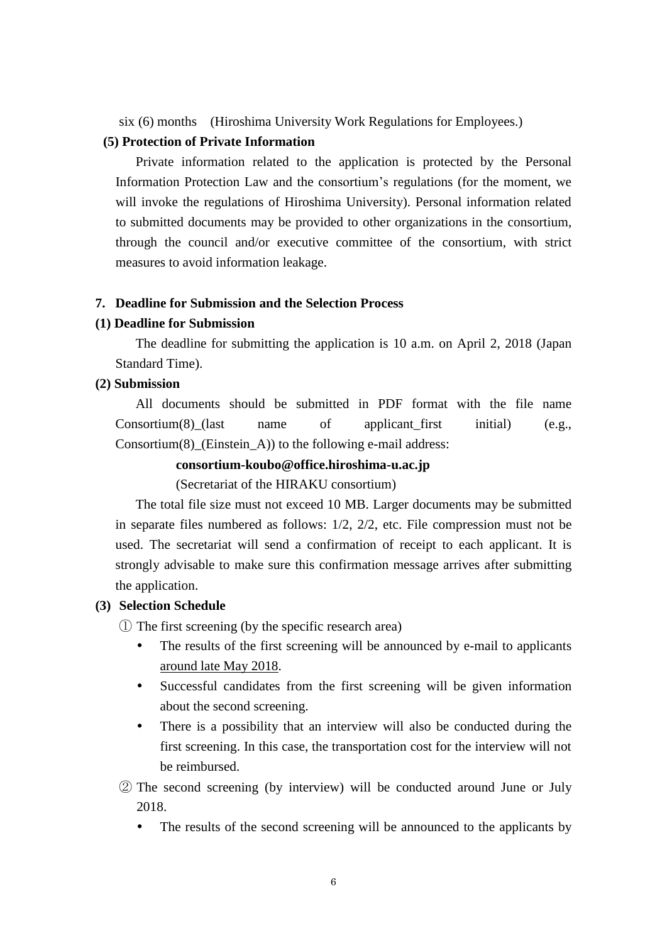six (6) months (Hiroshima University Work Regulations for Employees.)

# **(5) Protection of Private Information**

Private information related to the application is protected by the Personal Information Protection Law and the consortium's regulations (for the moment, we will invoke the regulations of Hiroshima University). Personal information related to submitted documents may be provided to other organizations in the consortium, through the council and/or executive committee of the consortium, with strict measures to avoid information leakage.

#### **7. Deadline for Submission and the Selection Process**

#### **(1) Deadline for Submission**

The deadline for submitting the application is 10 a.m. on April 2, 2018 (Japan Standard Time).

#### **(2) Submission**

All documents should be submitted in PDF format with the file name Consortium(8) (last name of applicant first initial) (e.g., Consortium(8)\_(Einstein\_A)) to the following e-mail address:

#### **consortium-koubo@office.hiroshima-u.ac.jp**

(Secretariat of the HIRAKU consortium)

The total file size must not exceed 10 MB. Larger documents may be submitted in separate files numbered as follows: 1/2, 2/2, etc. File compression must not be used. The secretariat will send a confirmation of receipt to each applicant. It is strongly advisable to make sure this confirmation message arrives after submitting the application.

#### **(3) Selection Schedule**

① The first screening (by the specific research area)

- The results of the first screening will be announced by e-mail to applicants around late May 2018.
- Successful candidates from the first screening will be given information about the second screening.
- There is a possibility that an interview will also be conducted during the first screening. In this case, the transportation cost for the interview will not be reimbursed.
- ② The second screening (by interview) will be conducted around June or July 2018.
	- The results of the second screening will be announced to the applicants by